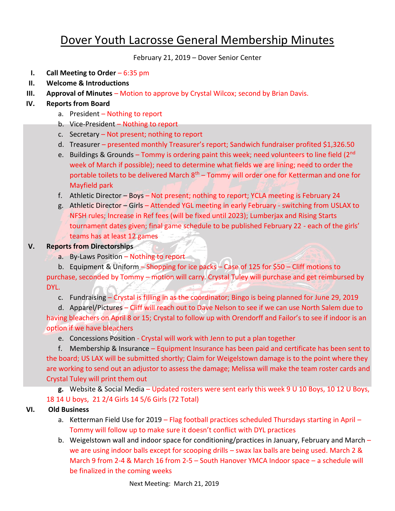## Dover Youth Lacrosse General Membership Minutes

February 21, 2019 – Dover Senior Center

- **I. Call Meeting to Order** 6:35 pm
- **II. Welcome & Introductions**
- **III. Approval of Minutes** Motion to approve by Crystal Wilcox; second by Brian Davis.
- **IV. Reports from Board**
	- a. President Nothing to report
	- b. Vice-President Nothing to report
	- c. Secretary Not present; nothing to report
	- d. Treasurer presented monthly Treasurer's report; Sandwich fundraiser profited \$1,326.50
	- e. Buildings & Grounds Tommy is ordering paint this week; need volunteers to line field (2nd week of March if possible); need to determine what fields we are lining; need to order the portable toilets to be delivered March  $8<sup>th</sup>$  – Tommy will order one for Ketterman and one for Mayfield park
	- f. Athletic Director Boys Not present; nothing to report; YCLA meeting is February 24
	- g. Athletic Director Girls Attended YGL meeting in early February switching from USLAX to NFSH rules; Increase in Ref fees (will be fixed until 2023); Lumberjax and Rising Starts tournament dates given; final game schedule to be published February 22 - each of the girls' teams has at least 12 games

## **V. Reports from Directorships**

a. By-Laws Position – Nothing to report

b. Equipment & Uniform – Shopping for ice packs – Case of 125 for \$50 – Cliff motions to purchase, seconded by Tommy – motion will carry. Crystal Tuley will purchase and get reimbursed by DYL.

c. Fundraising – Crystal is filling in as the coordinator; Bingo is being planned for June 29, 2019

d. Apparel/Pictures - Cliff will reach out to Dave Nelson to see if we can use North Salem due to having bleachers on April 8 or 15; Crystal to follow up with Orendorff and Failor's to see if indoor is an option if we have bleachers

e. Concessions Position - Crystal will work with Jenn to put a plan together

f. Membership & Insurance – Equipment Insurance has been paid and certificate has been sent to the board; US LAX will be submitted shortly; Claim for Weigelstown damage is to the point where they are working to send out an adjustor to assess the damage; Melissa will make the team roster cards and Crystal Tuley will print them out

**g.** Website & Social Media – Updated rosters were sent early this week 9 U 10 Boys, 10 12 U Boys, 18 14 U boys, 21 2/4 Girls 14 5/6 Girls (72 Total)

## **VI. Old Business**

- a. Ketterman Field Use for 2019 Flag football practices scheduled Thursdays starting in April Tommy will follow up to make sure it doesn't conflict with DYL practices
- b. Weigelstown wall and indoor space for conditioning/practices in January, February and March we are using indoor balls except for scooping drills – swax lax balls are being used. March 2 & March 9 from 2-4 & March 16 from 2-5 – South Hanover YMCA Indoor space – a schedule will be finalized in the coming weeks